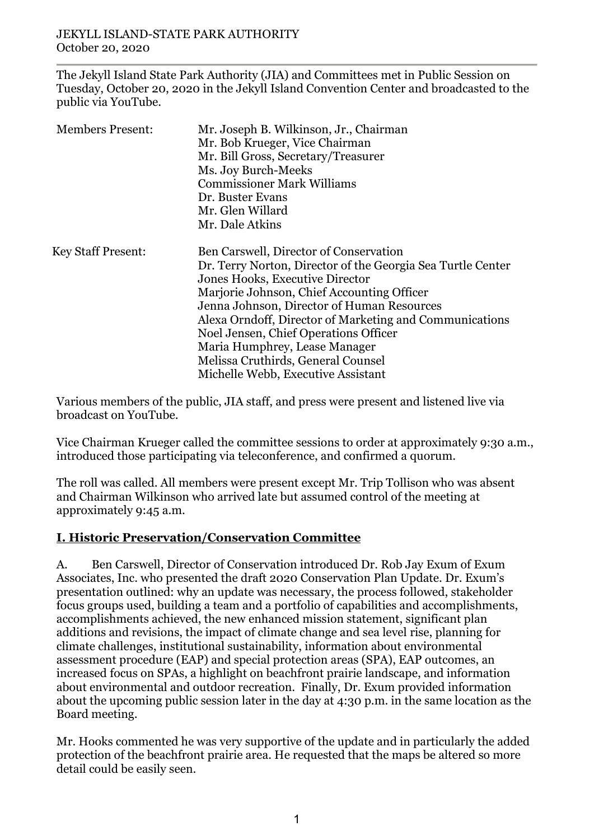The Jekyll Island State Park Authority (JIA) and Committees met in Public Session on Tuesday, October 20, 2020 in the Jekyll Island Convention Center and broadcasted to the public via YouTube.

| <b>Members Present:</b>   | Mr. Joseph B. Wilkinson, Jr., Chairman<br>Mr. Bob Krueger, Vice Chairman<br>Mr. Bill Gross, Secretary/Treasurer<br>Ms. Joy Burch-Meeks<br><b>Commissioner Mark Williams</b><br>Dr. Buster Evans<br>Mr. Glen Willard<br>Mr. Dale Atkins                                                                                                                                                                                                                |
|---------------------------|-------------------------------------------------------------------------------------------------------------------------------------------------------------------------------------------------------------------------------------------------------------------------------------------------------------------------------------------------------------------------------------------------------------------------------------------------------|
| <b>Key Staff Present:</b> | Ben Carswell, Director of Conservation<br>Dr. Terry Norton, Director of the Georgia Sea Turtle Center<br>Jones Hooks, Executive Director<br>Marjorie Johnson, Chief Accounting Officer<br>Jenna Johnson, Director of Human Resources<br>Alexa Orndoff, Director of Marketing and Communications<br>Noel Jensen, Chief Operations Officer<br>Maria Humphrey, Lease Manager<br>Melissa Cruthirds, General Counsel<br>Michelle Webb, Executive Assistant |

Various members of the public, JIA staff, and press were present and listened live via broadcast on YouTube.

Vice Chairman Krueger called the committee sessions to order at approximately 9:30 a.m., introduced those participating via teleconference, and confirmed a quorum.

The roll was called. All members were present except Mr. Trip Tollison who was absent and Chairman Wilkinson who arrived late but assumed control of the meeting at approximately 9:45 a.m.

# **I. Historic Preservation/Conservation Committee**

A. Ben Carswell, Director of Conservation introduced Dr. Rob Jay Exum of Exum Associates, Inc. who presented the draft 2020 Conservation Plan Update. Dr. Exum's presentation outlined: why an update was necessary, the process followed, stakeholder focus groups used, building a team and a portfolio of capabilities and accomplishments, accomplishments achieved, the new enhanced mission statement, significant plan additions and revisions, the impact of climate change and sea level rise, planning for climate challenges, institutional sustainability, information about environmental assessment procedure (EAP) and special protection areas (SPA), EAP outcomes, an increased focus on SPAs, a highlight on beachfront prairie landscape, and information about environmental and outdoor recreation. Finally, Dr. Exum provided information about the upcoming public session later in the day at 4:30 p.m. in the same location as the Board meeting.

Mr. Hooks commented he was very supportive of the update and in particularly the added protection of the beachfront prairie area. He requested that the maps be altered so more detail could be easily seen.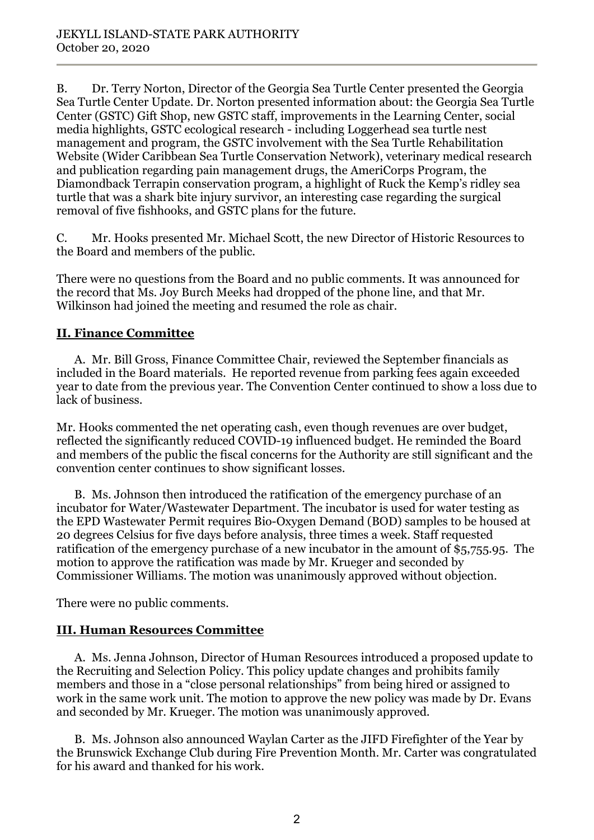B. Dr. Terry Norton, Director of the Georgia Sea Turtle Center presented the Georgia Sea Turtle Center Update. Dr. Norton presented information about: the Georgia Sea Turtle Center (GSTC) Gift Shop, new GSTC staff, improvements in the Learning Center, social media highlights, GSTC ecological research - including Loggerhead sea turtle nest management and program, the GSTC involvement with the Sea Turtle Rehabilitation Website (Wider Caribbean Sea Turtle Conservation Network), veterinary medical research and publication regarding pain management drugs, the AmeriCorps Program, the Diamondback Terrapin conservation program, a highlight of Ruck the Kemp's ridley sea turtle that was a shark bite injury survivor, an interesting case regarding the surgical removal of five fishhooks, and GSTC plans for the future.

C. Mr. Hooks presented Mr. Michael Scott, the new Director of Historic Resources to the Board and members of the public.

There were no questions from the Board and no public comments. It was announced for the record that Ms. Joy Burch Meeks had dropped of the phone line, and that Mr. Wilkinson had joined the meeting and resumed the role as chair.

# **II. Finance Committee**

A. Mr. Bill Gross, Finance Committee Chair, reviewed the September financials as included in the Board materials. He reported revenue from parking fees again exceeded year to date from the previous year. The Convention Center continued to show a loss due to lack of business.

Mr. Hooks commented the net operating cash, even though revenues are over budget, reflected the significantly reduced COVID-19 influenced budget. He reminded the Board and members of the public the fiscal concerns for the Authority are still significant and the convention center continues to show significant losses.

B. Ms. Johnson then introduced the ratification of the emergency purchase of an incubator for Water/Wastewater Department. The incubator is used for water testing as the EPD Wastewater Permit requires Bio-Oxygen Demand (BOD) samples to be housed at 20 degrees Celsius for five days before analysis, three times a week. Staff requested ratification of the emergency purchase of a new incubator in the amount of \$5,755.95. The motion to approve the ratification was made by Mr. Krueger and seconded by Commissioner Williams. The motion was unanimously approved without objection.

There were no public comments.

# **III. Human Resources Committee**

A. Ms. Jenna Johnson, Director of Human Resources introduced a proposed update to the Recruiting and Selection Policy. This policy update changes and prohibits family members and those in a "close personal relationships" from being hired or assigned to work in the same work unit. The motion to approve the new policy was made by Dr. Evans and seconded by Mr. Krueger. The motion was unanimously approved.

B. Ms. Johnson also announced Waylan Carter as the JIFD Firefighter of the Year by the Brunswick Exchange Club during Fire Prevention Month. Mr. Carter was congratulated for his award and thanked for his work.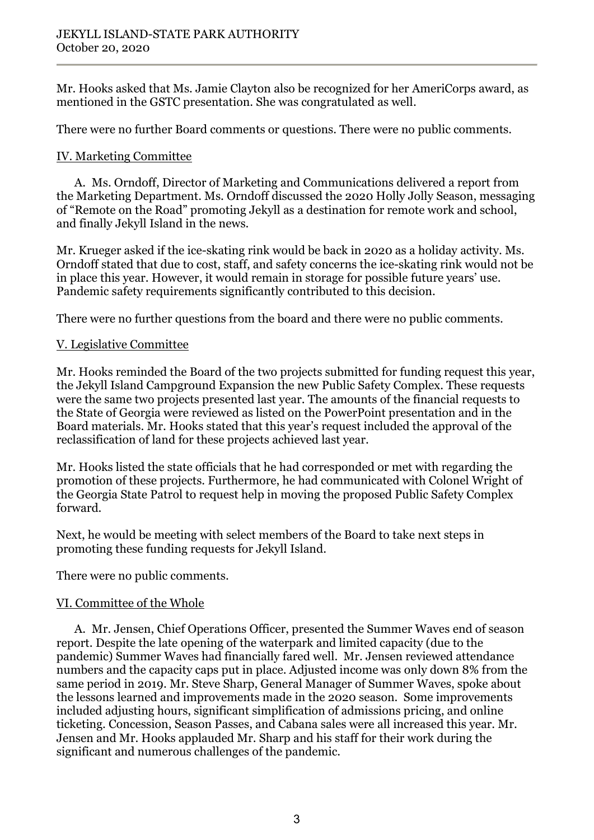Mr. Hooks asked that Ms. Jamie Clayton also be recognized for her AmeriCorps award, as mentioned in the GSTC presentation. She was congratulated as well.

There were no further Board comments or questions. There were no public comments.

## IV. Marketing Committee

A. Ms. Orndoff, Director of Marketing and Communications delivered a report from the Marketing Department. Ms. Orndoff discussed the 2020 Holly Jolly Season, messaging of "Remote on the Road" promoting Jekyll as a destination for remote work and school, and finally Jekyll Island in the news.

Mr. Krueger asked if the ice-skating rink would be back in 2020 as a holiday activity. Ms. Orndoff stated that due to cost, staff, and safety concerns the ice-skating rink would not be in place this year. However, it would remain in storage for possible future years' use. Pandemic safety requirements significantly contributed to this decision.

There were no further questions from the board and there were no public comments.

## V. Legislative Committee

Mr. Hooks reminded the Board of the two projects submitted for funding request this year, the Jekyll Island Campground Expansion the new Public Safety Complex. These requests were the same two projects presented last year. The amounts of the financial requests to the State of Georgia were reviewed as listed on the PowerPoint presentation and in the Board materials. Mr. Hooks stated that this year's request included the approval of the reclassification of land for these projects achieved last year.

Mr. Hooks listed the state officials that he had corresponded or met with regarding the promotion of these projects. Furthermore, he had communicated with Colonel Wright of the Georgia State Patrol to request help in moving the proposed Public Safety Complex forward.

Next, he would be meeting with select members of the Board to take next steps in promoting these funding requests for Jekyll Island.

There were no public comments.

#### VI. Committee of the Whole

A. Mr. Jensen, Chief Operations Officer, presented the Summer Waves end of season report. Despite the late opening of the waterpark and limited capacity (due to the pandemic) Summer Waves had financially fared well. Mr. Jensen reviewed attendance numbers and the capacity caps put in place. Adjusted income was only down 8% from the same period in 2019. Mr. Steve Sharp, General Manager of Summer Waves, spoke about the lessons learned and improvements made in the 2020 season. Some improvements included adjusting hours, significant simplification of admissions pricing, and online ticketing. Concession, Season Passes, and Cabana sales were all increased this year. Mr. Jensen and Mr. Hooks applauded Mr. Sharp and his staff for their work during the significant and numerous challenges of the pandemic.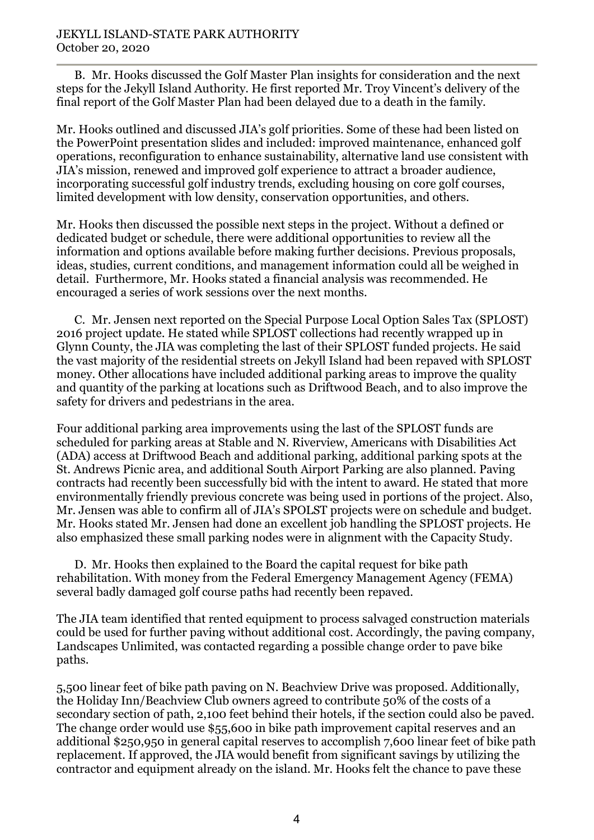#### JEKYLL ISLAND-STATE PARK AUTHORITY October 20, 2020

B. Mr. Hooks discussed the Golf Master Plan insights for consideration and the next steps for the Jekyll Island Authority. He first reported Mr. Troy Vincent's delivery of the final report of the Golf Master Plan had been delayed due to a death in the family.

Mr. Hooks outlined and discussed JIA's golf priorities. Some of these had been listed on the PowerPoint presentation slides and included: improved maintenance, enhanced golf operations, reconfiguration to enhance sustainability, alternative land use consistent with JIA's mission, renewed and improved golf experience to attract a broader audience, incorporating successful golf industry trends, excluding housing on core golf courses, limited development with low density, conservation opportunities, and others.

Mr. Hooks then discussed the possible next steps in the project. Without a defined or dedicated budget or schedule, there were additional opportunities to review all the information and options available before making further decisions. Previous proposals, ideas, studies, current conditions, and management information could all be weighed in detail. Furthermore, Mr. Hooks stated a financial analysis was recommended. He encouraged a series of work sessions over the next months.

C. Mr. Jensen next reported on the Special Purpose Local Option Sales Tax (SPLOST) 2016 project update. He stated while SPLOST collections had recently wrapped up in Glynn County, the JIA was completing the last of their SPLOST funded projects. He said the vast majority of the residential streets on Jekyll Island had been repaved with SPLOST money. Other allocations have included additional parking areas to improve the quality and quantity of the parking at locations such as Driftwood Beach, and to also improve the safety for drivers and pedestrians in the area.

Four additional parking area improvements using the last of the SPLOST funds are scheduled for parking areas at Stable and N. Riverview, Americans with Disabilities Act (ADA) access at Driftwood Beach and additional parking, additional parking spots at the St. Andrews Picnic area, and additional South Airport Parking are also planned. Paving contracts had recently been successfully bid with the intent to award. He stated that more environmentally friendly previous concrete was being used in portions of the project. Also, Mr. Jensen was able to confirm all of JIA's SPOLST projects were on schedule and budget. Mr. Hooks stated Mr. Jensen had done an excellent job handling the SPLOST projects. He also emphasized these small parking nodes were in alignment with the Capacity Study.

D. Mr. Hooks then explained to the Board the capital request for bike path rehabilitation. With money from the Federal Emergency Management Agency (FEMA) several badly damaged golf course paths had recently been repaved.

The JIA team identified that rented equipment to process salvaged construction materials could be used for further paving without additional cost. Accordingly, the paving company, Landscapes Unlimited, was contacted regarding a possible change order to pave bike paths.

5,500 linear feet of bike path paving on N. Beachview Drive was proposed. Additionally, the Holiday Inn/Beachview Club owners agreed to contribute 50% of the costs of a secondary section of path, 2,100 feet behind their hotels, if the section could also be paved. The change order would use \$55,600 in bike path improvement capital reserves and an additional \$250,950 in general capital reserves to accomplish 7,600 linear feet of bike path replacement. If approved, the JIA would benefit from significant savings by utilizing the contractor and equipment already on the island. Mr. Hooks felt the chance to pave these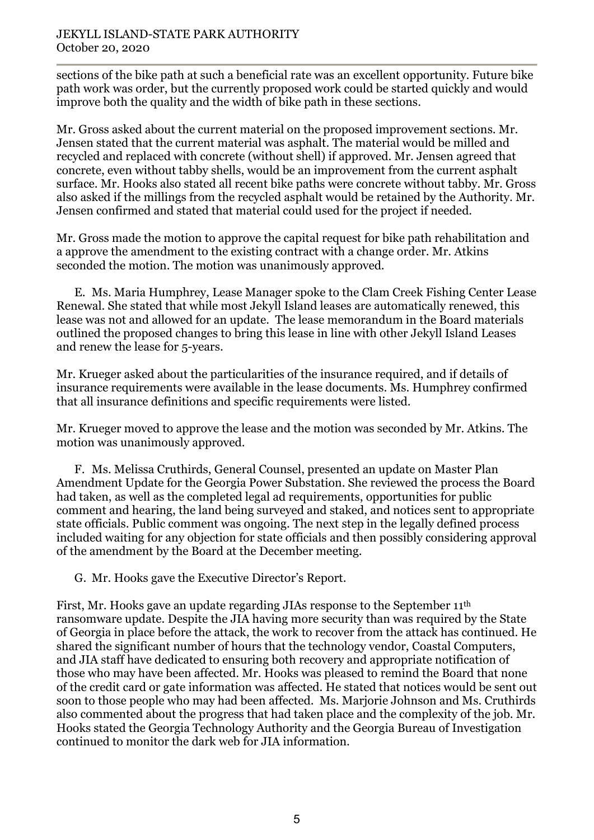sections of the bike path at such a beneficial rate was an excellent opportunity. Future bike path work was order, but the currently proposed work could be started quickly and would improve both the quality and the width of bike path in these sections.

Mr. Gross asked about the current material on the proposed improvement sections. Mr. Jensen stated that the current material was asphalt. The material would be milled and recycled and replaced with concrete (without shell) if approved. Mr. Jensen agreed that concrete, even without tabby shells, would be an improvement from the current asphalt surface. Mr. Hooks also stated all recent bike paths were concrete without tabby. Mr. Gross also asked if the millings from the recycled asphalt would be retained by the Authority. Mr. Jensen confirmed and stated that material could used for the project if needed.

Mr. Gross made the motion to approve the capital request for bike path rehabilitation and a approve the amendment to the existing contract with a change order. Mr. Atkins seconded the motion. The motion was unanimously approved.

E. Ms. Maria Humphrey, Lease Manager spoke to the Clam Creek Fishing Center Lease Renewal. She stated that while most Jekyll Island leases are automatically renewed, this lease was not and allowed for an update. The lease memorandum in the Board materials outlined the proposed changes to bring this lease in line with other Jekyll Island Leases and renew the lease for 5-years.

Mr. Krueger asked about the particularities of the insurance required, and if details of insurance requirements were available in the lease documents. Ms. Humphrey confirmed that all insurance definitions and specific requirements were listed.

Mr. Krueger moved to approve the lease and the motion was seconded by Mr. Atkins. The motion was unanimously approved.

F. Ms. Melissa Cruthirds, General Counsel, presented an update on Master Plan Amendment Update for the Georgia Power Substation. She reviewed the process the Board had taken, as well as the completed legal ad requirements, opportunities for public comment and hearing, the land being surveyed and staked, and notices sent to appropriate state officials. Public comment was ongoing. The next step in the legally defined process included waiting for any objection for state officials and then possibly considering approval of the amendment by the Board at the December meeting.

G. Mr. Hooks gave the Executive Director's Report.

First, Mr. Hooks gave an update regarding JIAs response to the September 11th ransomware update. Despite the JIA having more security than was required by the State of Georgia in place before the attack, the work to recover from the attack has continued. He shared the significant number of hours that the technology vendor, Coastal Computers, and JIA staff have dedicated to ensuring both recovery and appropriate notification of those who may have been affected. Mr. Hooks was pleased to remind the Board that none of the credit card or gate information was affected. He stated that notices would be sent out soon to those people who may had been affected. Ms. Marjorie Johnson and Ms. Cruthirds also commented about the progress that had taken place and the complexity of the job. Mr. Hooks stated the Georgia Technology Authority and the Georgia Bureau of Investigation continued to monitor the dark web for JIA information.